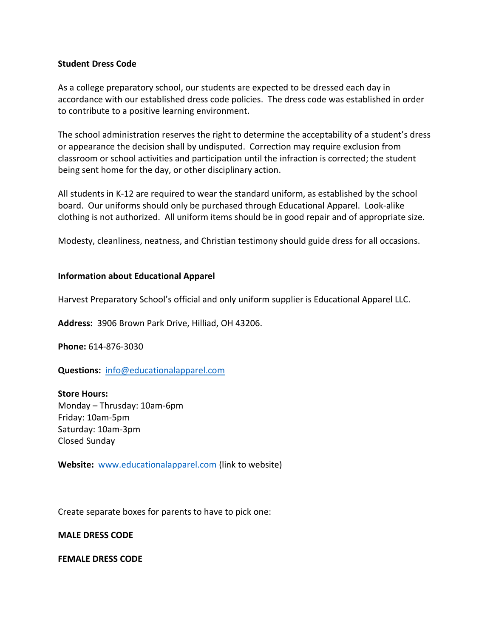### **Student Dress Code**

As a college preparatory school, our students are expected to be dressed each day in accordance with our established dress code policies. The dress code was established in order to contribute to a positive learning environment.

The school administration reserves the right to determine the acceptability of a student's dress or appearance the decision shall by undisputed. Correction may require exclusion from classroom or school activities and participation until the infraction is corrected; the student being sent home for the day, or other disciplinary action.

All students in K-12 are required to wear the standard uniform, as established by the school board. Our uniforms should only be purchased through Educational Apparel. Look-alike clothing is not authorized. All uniform items should be in good repair and of appropriate size.

Modesty, cleanliness, neatness, and Christian testimony should guide dress for all occasions.

## **Information about Educational Apparel**

Harvest Preparatory School's official and only uniform supplier is Educational Apparel LLC.

**Address:** 3906 Brown Park Drive, Hilliad, OH 43206.

**Phone:** 614-876-3030

**Questions:** [info@educationalapparel.com](mailto:info@educationalapparel.com)

**Store Hours:** Monday – Thrusday: 10am-6pm Friday: 10am-5pm Saturday: 10am-3pm Closed Sunday

**Website:** [www.educationalapparel.com](http://www.educationalapparel.com/) (link to website)

Create separate boxes for parents to have to pick one:

**MALE DRESS CODE**

**FEMALE DRESS CODE**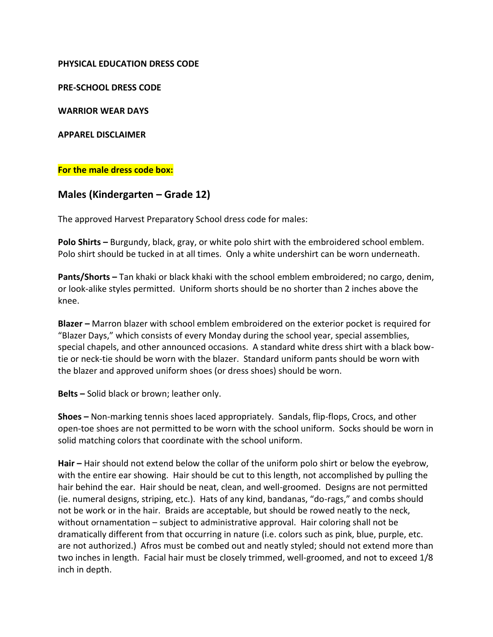## **PHYSICAL EDUCATION DRESS CODE**

**PRE-SCHOOL DRESS CODE**

**WARRIOR WEAR DAYS**

**APPAREL DISCLAIMER**

## **For the male dress code box:**

## **Males (Kindergarten – Grade 12)**

The approved Harvest Preparatory School dress code for males:

**Polo Shirts –** Burgundy, black, gray, or white polo shirt with the embroidered school emblem. Polo shirt should be tucked in at all times. Only a white undershirt can be worn underneath.

**Pants/Shorts –** Tan khaki or black khaki with the school emblem embroidered; no cargo, denim, or look-alike styles permitted. Uniform shorts should be no shorter than 2 inches above the knee.

**Blazer –** Marron blazer with school emblem embroidered on the exterior pocket is required for "Blazer Days," which consists of every Monday during the school year, special assemblies, special chapels, and other announced occasions. A standard white dress shirt with a black bowtie or neck-tie should be worn with the blazer. Standard uniform pants should be worn with the blazer and approved uniform shoes (or dress shoes) should be worn.

**Belts –** Solid black or brown; leather only.

**Shoes –** Non-marking tennis shoes laced appropriately. Sandals, flip-flops, Crocs, and other open-toe shoes are not permitted to be worn with the school uniform. Socks should be worn in solid matching colors that coordinate with the school uniform.

**Hair –** Hair should not extend below the collar of the uniform polo shirt or below the eyebrow, with the entire ear showing. Hair should be cut to this length, not accomplished by pulling the hair behind the ear. Hair should be neat, clean, and well-groomed. Designs are not permitted (ie. numeral designs, striping, etc.). Hats of any kind, bandanas, "do-rags," and combs should not be work or in the hair. Braids are acceptable, but should be rowed neatly to the neck, without ornamentation – subject to administrative approval. Hair coloring shall not be dramatically different from that occurring in nature (i.e. colors such as pink, blue, purple, etc. are not authorized.) Afros must be combed out and neatly styled; should not extend more than two inches in length. Facial hair must be closely trimmed, well-groomed, and not to exceed 1/8 inch in depth.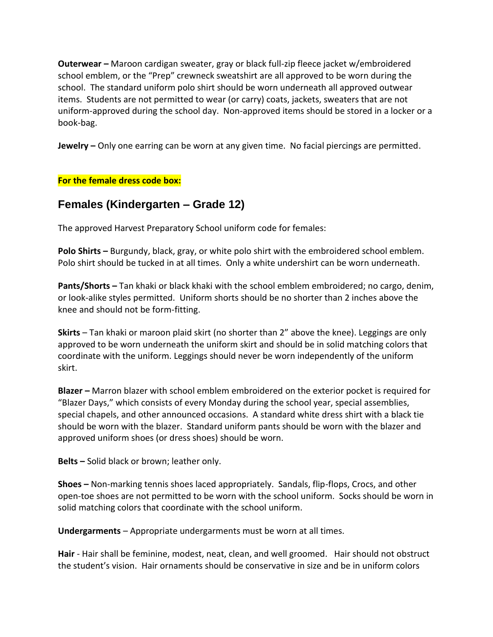**Outerwear –** Maroon cardigan sweater, gray or black full-zip fleece jacket w/embroidered school emblem, or the "Prep" crewneck sweatshirt are all approved to be worn during the school. The standard uniform polo shirt should be worn underneath all approved outwear items. Students are not permitted to wear (or carry) coats, jackets, sweaters that are not uniform-approved during the school day. Non-approved items should be stored in a locker or a book-bag.

**Jewelry –** Only one earring can be worn at any given time. No facial piercings are permitted.

## **For the female dress code box:**

# **Females (Kindergarten – Grade 12)**

The approved Harvest Preparatory School uniform code for females:

**Polo Shirts –** Burgundy, black, gray, or white polo shirt with the embroidered school emblem. Polo shirt should be tucked in at all times. Only a white undershirt can be worn underneath.

**Pants/Shorts –** Tan khaki or black khaki with the school emblem embroidered; no cargo, denim, or look-alike styles permitted. Uniform shorts should be no shorter than 2 inches above the knee and should not be form-fitting.

**Skirts** – Tan khaki or maroon plaid skirt (no shorter than 2" above the knee). Leggings are only approved to be worn underneath the uniform skirt and should be in solid matching colors that coordinate with the uniform. Leggings should never be worn independently of the uniform skirt.

**Blazer –** Marron blazer with school emblem embroidered on the exterior pocket is required for "Blazer Days," which consists of every Monday during the school year, special assemblies, special chapels, and other announced occasions. A standard white dress shirt with a black tie should be worn with the blazer. Standard uniform pants should be worn with the blazer and approved uniform shoes (or dress shoes) should be worn.

**Belts –** Solid black or brown; leather only.

**Shoes –** Non-marking tennis shoes laced appropriately. Sandals, flip-flops, Crocs, and other open-toe shoes are not permitted to be worn with the school uniform. Socks should be worn in solid matching colors that coordinate with the school uniform.

**Undergarments** – Appropriate undergarments must be worn at all times.

**Hair** - Hair shall be feminine, modest, neat, clean, and well groomed. Hair should not obstruct the student's vision. Hair ornaments should be conservative in size and be in uniform colors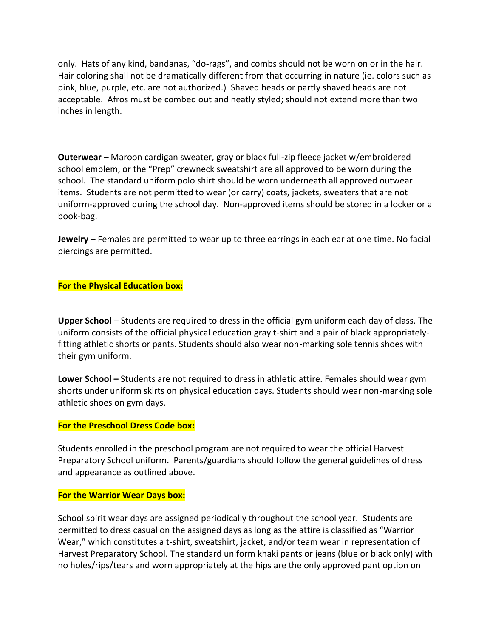only. Hats of any kind, bandanas, "do-rags", and combs should not be worn on or in the hair. Hair coloring shall not be dramatically different from that occurring in nature (ie. colors such as pink, blue, purple, etc. are not authorized.) Shaved heads or partly shaved heads are not acceptable. Afros must be combed out and neatly styled; should not extend more than two inches in length.

**Outerwear –** Maroon cardigan sweater, gray or black full-zip fleece jacket w/embroidered school emblem, or the "Prep" crewneck sweatshirt are all approved to be worn during the school. The standard uniform polo shirt should be worn underneath all approved outwear items. Students are not permitted to wear (or carry) coats, jackets, sweaters that are not uniform-approved during the school day. Non-approved items should be stored in a locker or a book-bag.

**Jewelry –** Females are permitted to wear up to three earrings in each ear at one time. No facial piercings are permitted.

## **For the Physical Education box:**

**Upper School** – Students are required to dress in the official gym uniform each day of class. The uniform consists of the official physical education gray t-shirt and a pair of black appropriatelyfitting athletic shorts or pants. Students should also wear non-marking sole tennis shoes with their gym uniform.

**Lower School –** Students are not required to dress in athletic attire. Females should wear gym shorts under uniform skirts on physical education days. Students should wear non-marking sole athletic shoes on gym days.

### **For the Preschool Dress Code box:**

Students enrolled in the preschool program are not required to wear the official Harvest Preparatory School uniform. Parents/guardians should follow the general guidelines of dress and appearance as outlined above.

### **For the Warrior Wear Days box:**

School spirit wear days are assigned periodically throughout the school year. Students are permitted to dress casual on the assigned days as long as the attire is classified as "Warrior Wear," which constitutes a t-shirt, sweatshirt, jacket, and/or team wear in representation of Harvest Preparatory School. The standard uniform khaki pants or jeans (blue or black only) with no holes/rips/tears and worn appropriately at the hips are the only approved pant option on